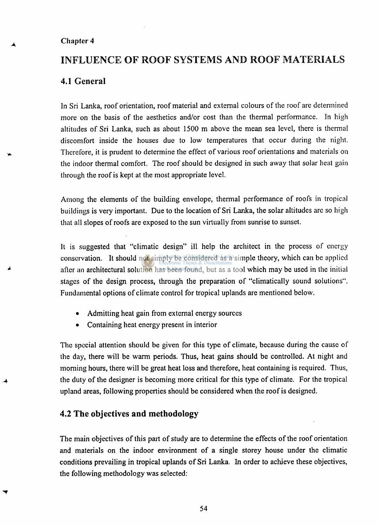#### **Chapter 4**

# **INFLUENCE OF ROOF SYSTEMS AND ROOF MATERIALS**

## **4.1 General**

**In Sri Lanka, roof orientation, roof material and external colours of the roof are determined more on the basis of the aesthetics and/or cost than the thermal performance. In high altitudes of Sri Lanka, such as about 1500 m above the mean sea level, there is thermal discomfort inside the houses due to low temperatures that occur during the night. Therefore, it is prudent to determine the effect of various roof orientations and materials on the indoor thermal comfort. The roof should be designed in such away that solar heat gain through the roof is kept at the most appropriate level.** 

**Among the elements of the building envelope, thermal performance of roofs in tropical buildings is very important. Due to the location of Sri Lanka, the solar altitudes are so high that all slopes of roofs are exposed to the sun virtually from sunrise to sunset.** 

**It is suggested that "climatic design" ill help the architect in the process of energy conservation. It should not simply be considered as a simple theory, which can be applied after an architectural solution has been found, but as a tool which may be used in the initial stages of the design process, through the preparation of "climatically sound solutions". Fundamental options of climate control for tropical uplands are mentioned below.** 

- **Admitting heat gain from external energy sources**
- **Containing heat energy present in interior**

**The special attention should be given for this type of climate, because during the cause of the day, there will be warm periods. Thus, heat gains should be controlled. At night and morning hours, there will be great heat loss and therefore, heat containing is required. Thus, the duty of the designer is becoming more critical for this type of climate. For the tropical upland areas, following properties should be considered when the roof is designed.** 

## **4.2 The objectives and methodology**

**The main objectives of this part of study are to determine the effects of the roof orientation and materials on the indoor environment of a single storey house under the climatic conditions prevailing in tropical uplands of Sri Lanka. In order to achieve these objectives, the following methodology was selected:** 

**54**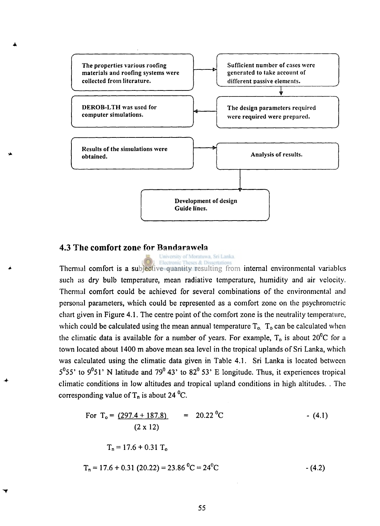

#### **4.3 The comfort zone for Bandarawela**

University of Moratuwa, Sri Lanka,

**Thermal comfort is a subjective quantity resulting from internal environmental variables such as dry bulb temperature, mean radiative temperature, humidity and air velocity. Thermal comfort could be achieved for several combinations of the environmental and personal parameters, which could be represented as a comfort zone on the psychromctric chart given in Figure 4.1. The centre point of the comfort zone is the neutrality temperature,**  which could be calculated using the mean annual temperature  $T_0$ ,  $T_0$  can be calculated when **the climatic data is available for a number of years. For example, T<sup>0</sup> is about 20°C for a town located about 1400 m above mean sea level in the tropical uplands of Sri Lanka, which was calculated using the climatic data given in Table 4.1. Sri Lanka is located between 5°55' to 9°51' N latitude and 79° 43 ' to 82° 53' E longitude. Thus, it experiences tropical climatic conditions in low altitudes and tropical upland conditions in high altitudes. . The corresponding value of T<sup>n</sup> is about 24 °C.** 

For 
$$
T_o = (297.4 + 187.8)
$$
 = 20.22 °C  
\n $(2 \times 12)$  - (4.1)  
\n $T_n = 17.6 + 0.31 T_o$   
\n $T_n = 17.6 + 0.31 (20.22) = 23.86 °C = 24 °C$  - (4.2)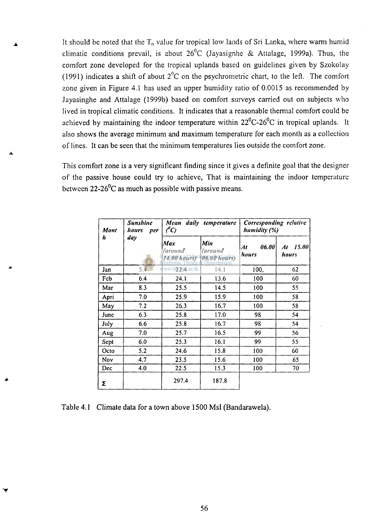It should be noted that the T<sub>n</sub> value for tropical low lands of Sri Lanka, where warm humid **climatic conditions prevail, is about 26°C (Jayasignhe & Attalage, 1999a). Thus, the comfort zone developed for the tropical uplands based on guidelines given by Szokolay (1991) indicates a shift of about 2°C on the psychrometric chart, to the left. The comfort zone given in Figure 4.1 has used an upper humidity ratio of 0.0015 as recommended by Jayasinghe and Attalage (1999b) based on comfort surveys carried out on subjects who lived in tropical climatic conditions. It indicates that a reasonable thermal comfort could be achieved by maintaining the indoor temperature within 22°C-26°C in tropical uplands. It also shows the average minimum and maximum temperature for each month as a collection of lines. It can be seen that the minimum temperatures lies outside the comfort zone.** 

**This comfort zone is a very significant finding since it gives a definite goal that the designer of the passive house could try to achieve, That is maintaining the indoor temperature between 22-26°C as much as possible with passive means.** 

| Mont<br>h | Sunshine<br>hours<br>per | daily temperature<br>Mean<br>$\ell^o$ C)           |                                      | Corresponding relative<br>humidity (%) |                      |
|-----------|--------------------------|----------------------------------------------------|--------------------------------------|----------------------------------------|----------------------|
|           | day                      | Max<br><i>(around</i><br>14.00 hours) 06.00 hours) | Min<br><i>(around</i><br>coertations | 06.00<br>At<br>hours                   | 15.00<br>At<br>hours |
| Jan       | 5.4                      | $122.4$ at $1.$<br>WW.                             | 14.1                                 | 100,                                   | 62                   |
| Fcb       | 6.4                      | 24.1                                               | 13.6                                 | 100                                    | 60                   |
| Mar       | 8.3                      | 25.5                                               | 14.5                                 | 100                                    | 55                   |
| Apri      | 7.0                      | 25.9                                               | 15.9                                 | 100                                    | 58                   |
| May       | 7.2                      | 26.3                                               | 16.7                                 | 100                                    | 58                   |
| June      | 6.3                      | 25.8                                               | 17.0                                 | 98                                     | 54                   |
| July      | 6.6                      | 25.8                                               | 16.7                                 | 98                                     | 54                   |
| Aug       | 7.0                      | 25.7                                               | 16.5                                 | 99                                     | 56                   |
| Sept      | 6.0                      | 25.3                                               | 16.1                                 | 99                                     | 55                   |
| Octo      | 5.2                      | 24.6                                               | 15.8                                 | 100                                    | 60                   |
| Nov       | 4.7                      | 23.5                                               | 15.6                                 | 100                                    | 65                   |
| Dec       | 4.0                      | 22.5                                               | 15.3                                 | 100                                    | 70                   |
| Σ         |                          | 297.4                                              | 187.8                                |                                        |                      |

| Table 4.1 Climate data for a town above 1500 Msl (Bandarawela). |
|-----------------------------------------------------------------|
|-----------------------------------------------------------------|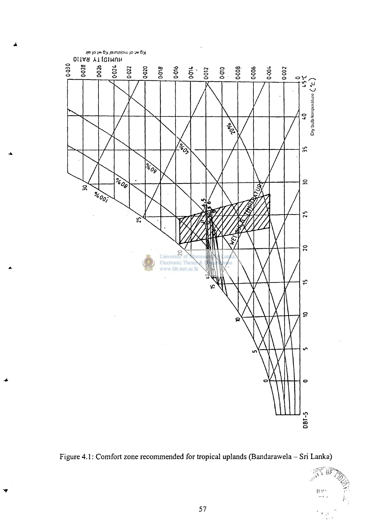



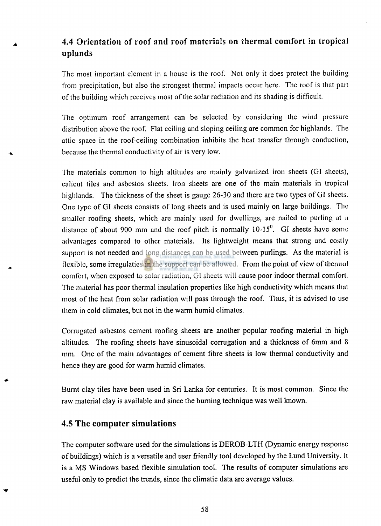# 4.4 **Orientation** of **roof and roof materials on thermal comfort in tropical uplands**

**The most important element in a house is the roof. Not only it does protect the building from precipitation, but also the strongest thermal impacts occur here. The roof is that part of the building which receives most of the solar radiation and its shading is difficult.** 

**The optimum roof arrangement can be selected by considering the wind pressure distribution above the roof. Flat ceiling and sloping ceiling are common for highlands. The attic space in the roof-ceiling combination inhibits the heat transfer through conduction, because the thermal conductivity of air is very low.** 

**The materials common to high altitudes are mainly galvanized iron sheets (GI sheets), calicut tiles and asbestos sheets. Iron sheets are one of the main materials in tropical highlands. The thickness of the sheet is gauge 26-30 and there are two types of GI sheets. One type of GI sheets consists of long sheets and is used mainly on large buildings. The smaller roofing sheets, which are mainly used for dwellings, are nailed to purling at a distance of about 900 mm and the roof pitch is normally 10-15°. GI sheets have some advantages compared to other materials. Its lightweight means that strong and costly support is not needed and long distances can be used between purlings. As the material is flexible, some irregulaties in the support can be allowed. From the point of view of thermal comfort, when exposed to solar radiation, GI sheets will cause poor indoor thermal comfort. The material has poor thermal insulation properties like high conductivity which means that most of the heat from solar radiation will pass through the roof. Thus, it is advised to use them in cold climates, but not in the warm humid climates.** 

**Corrugated asbestos cement roofing sheets are another popular roofing material in high altitudes. The roofing sheets have sinusoidal corrugation and a thickness of 6mm and 8 mm. One of the main advantages of cement fibre sheets is low thermal conductivity and hence they are good for warm humid climates.** 

**Burnt clay tiles have been used in Sri Lanka for centuries. It is most common. Since the raw material clay is available and since the burning technique was well known.** 

## **4.5 The computer simulations**

**The computer software used for the simulations is DEROB-LTH (Dynamic energy response of buildings) which is a versatile and user friendly tool developed by the Lund University. It is a MS Windows based flexible simulation tool. The results of computer simulations are useful only to predict the trends, since the climatic data are average values.**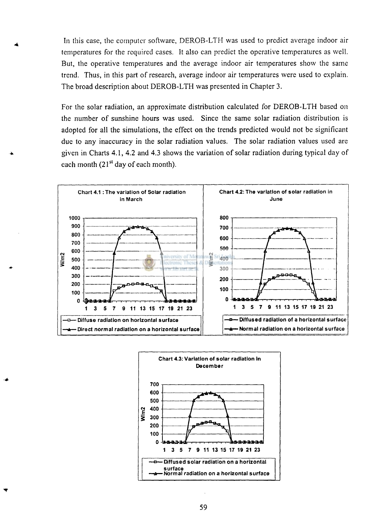In this case, the computer software, DEROB-LTH was used to predict average indoor air temperatures for the required cases. It also can predict the operative temperatures as well. But, the operative temperatures and the average indoor air temperatures show the same trend. Thus, in this part of research, average indoor air temperatures were used to explain. The broad description about DEROB-LTH was presented in Chapter **3.** 

For the solar radiation, an approximate distribution calculated for DEROB-LTH based on the number of sunshine hours was used. Since the same solar radiation distribution is adopted for all the simulations, the effect on the trends predicted would not be significant due to any inaccuracy in the solar radiation values. The solar radiation values used are given in Charts **4.1, 4.2** and **4.3** shows the variation of solar radiation during typical day of each month (21<sup>st</sup> day of each month).



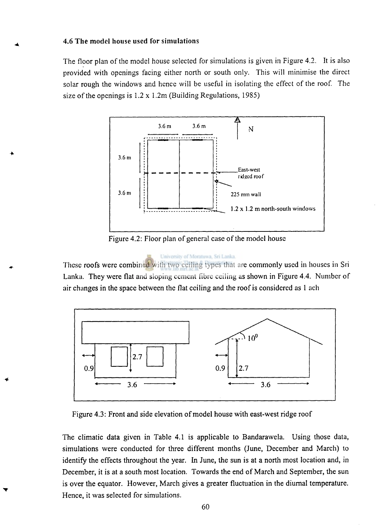#### **4.6 The model house used for simulations**

**The floor plan of the model house selected for simulations is given in Figure 4.2. It is also provided with openings facing either north or south only. This will minimise the direct solar rough the windows and hence will be useful in isolating the effect of the roof. The size of the openings is 1.2 x 1.2m (Building Regulations, 1985)** 



**Figure 4.2: Floor plan of general case of the model house** 

# University of Moratuwa, Sri Lanka. **These roofs were combined with two ceiling types that are commonly used in houses in Sri Lanka. They were flat and sloping cement fibre ceiling as shown in Figure 4.4. Number of air changes in the space between the flat ceiling and the roof is considered as 1 ach**



**Figure 4.3: Front and side elevation of model house with east-west ridge roof** 

**The climatic data given in Table 4.1 is applicable to Bandarawela. Using those data, simulations were conducted for three different months (June, December and March) to identify the effects throughout the year. In June, the sun is at a north most location and, in December, it is at a south most location. Towards the end of March and September, the sun is over the equator. However, March gives a greater fluctuation in the diurnal temperature. Hence, it was selected for simulations.**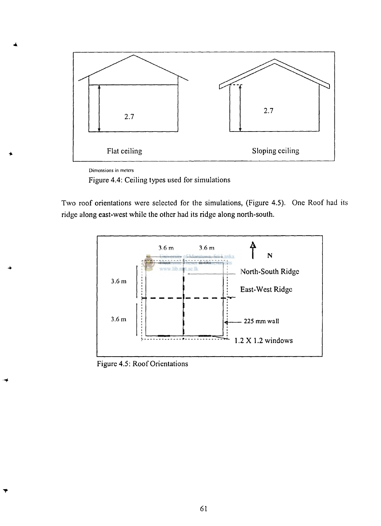

**Dimensions in meters** 

Figure **4.4:** Ceiling types used for simulations

Two roof orientations were selected for the simulations, (Figure **4.5).** One Roof had its ridge along east-west while the other had its ridge along north-south.



Figure **4.5:** Roof Orientations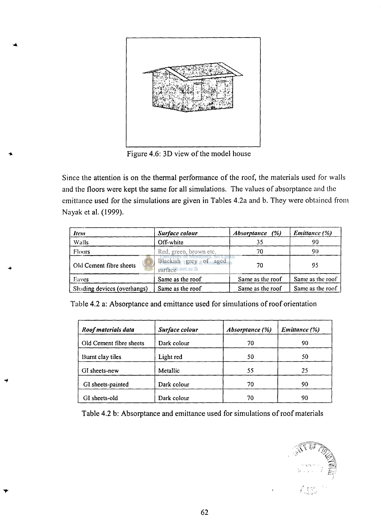

**Figure 4.6: 3D view of the model house** 

**Since the attention is on the thermal performance of the roof, the materials used for walls and the floors were kept the same for all simulations. The values of absorptance and the emittance used for the simulations are given in Tables 4.2a and b. They were obtained from Nayak et al. (1999).** 

| Item                        | Surface colour                             | <i>Absorptance</i> (%) | <b>Emittance</b> (%) |
|-----------------------------|--------------------------------------------|------------------------|----------------------|
| Walls                       | Off-white                                  | 35                     | 90                   |
| Floors                      | Red, green, brown etc.                     | 70                     | 90                   |
| Old Cement fibre sheets     | Blackish grey of aged<br>surface mrt.ac.lk | 70                     | 95                   |
| Eaves                       | Same as the roof                           | Same as the roof       | Same as the roof     |
| Shading devices (overhangs) | Same as the roof                           | Same as the roof       | Same as the roof     |

**Table 4.2 a: Absorptance and emittance used for simulations of roof orientation** 

| Roof materials data     | Surface colour | <i>Absorptance</i> (%) | Emittance (%) |  |
|-------------------------|----------------|------------------------|---------------|--|
| Old Cement fibre sheets | Dark colour    | 70                     | 90            |  |
| Burnt clay tiles        | Light red      | 50                     | 50            |  |
| GI sheets-new           | Metallic       | 55                     | 25            |  |
| GI sheets-painted       | Dark colour    | 70                     | 90            |  |
| GI sheets-old           | Dark colour    | 70                     | 90            |  |

**Table 4.2 b: Absorptance and emittance used for simulations of roof materials** 

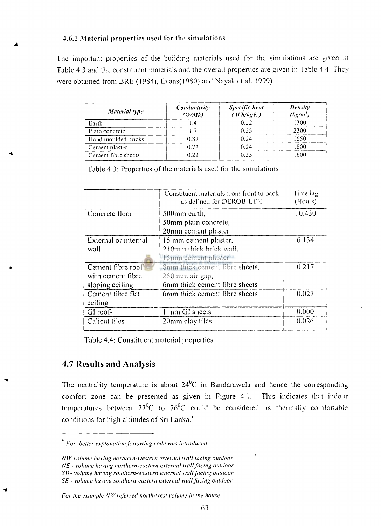#### **4**.6**.1 Material properties used for the simulations**

The important properties of the building materials used for the simulations are given in Table 4.3 and the constituent materials and the overall properties are given in Table 4.4 They were obtained from BRE (1984), Evans(1980) and Nayak et al. 1999).

| Material type       | Conductivity<br>(W/Mk) | Specific heat<br>(Wh/kgK) | <b>Density</b><br>$(kg/m^3)$ |
|---------------------|------------------------|---------------------------|------------------------------|
| Earth               | .4                     | 0.22                      | 1300                         |
| Plain concrete      |                        | 0.25                      | 2300                         |
| Hand moulded bricks | 0.82                   | 0.24                      | 1850                         |
| Cement plaster      | 0.72                   | 0.24                      | 1800                         |
| Cement fibre sheets | 0.22                   | 0.25                      | 1600                         |

Table 4.3: Properties of the materials used for the simulations

|                      | Constituent materials from front to back<br>as defined for DEROB-LTH | Time lag<br>(Hours) |
|----------------------|----------------------------------------------------------------------|---------------------|
| Concrete floor       | 500mm earth,                                                         | 10.430              |
|                      | 50mm plain concrete,                                                 |                     |
|                      | 20mm cement plaster                                                  |                     |
| External or internal | 15 mm cement plaster,                                                | 6.134               |
| wall                 | 210mm thick brick wall,                                              |                     |
|                      | 15mm cement plaster                                                  |                     |
| Cement fibre roof    | 8mm thick cement fibre sheets,                                       | 0.217               |
| with cement fibre    | 250 mm air gap,                                                      |                     |
| sloping ceiling      | 6mm thick cement fibre sheets                                        |                     |
| Cement fibre flat    | 6mm thick cement fibre sheets                                        | 0.027               |
| ceiling              |                                                                      |                     |
| GI roof-             | 1 mm GI sheets                                                       | 0.000               |
| Calicut tiles        | 20mm clay tiles                                                      | 0.026               |
|                      |                                                                      |                     |

Table 4.4: Constituent material properties

## **4.7 Results and Analysis**

The neutrality temperature is about  $24<sup>0</sup>C$  in Bandarawela and hence the corresponding comfort zone can be presented as given in Figure 4.1. This indicates that indoor temperatures between  $22^0C$  to  $26^0C$  could be considered as thermally comfortable conditions for high altitudes of Sri Lanka.\*

*For the example NW referred north-west volume in the house.* 

*For better explanation following code was introduced.* 

*NW-volume having northern-western external wall facing outdoor NE - volume having northern-eastern external wall facing outdoor SW- volume having southern-western external wall facing outdoor SE - volume having southern-eastern external wall facing outdoor*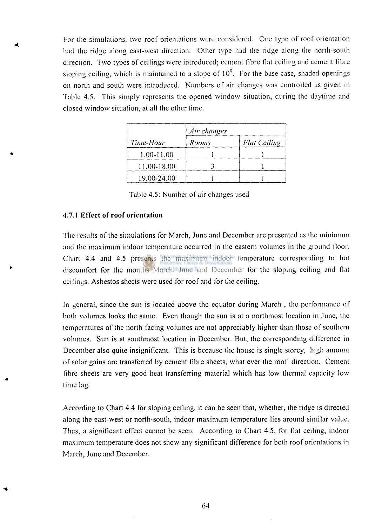For ihe simulations, two roof orientations were considered. One type of roof orientation had the ridge along east-west direction. Other type had the ridge along the north-south direction. Two types of ceilings were introduced; cement fibre fiat ceiling and cement fibre sloping ceiling, which is maintained to a slope of  $10<sup>0</sup>$ . For the base case, shaded openings on north and south were introduced. Numbers of air changes was controlled as given in Table 4.5. This simply represents the opened window situation, during the daytime and closed window situation, at all the other time.

|             | Air changes |                     |  |
|-------------|-------------|---------------------|--|
| Time-Hour   | Rooms       | <b>Flat Ceiling</b> |  |
| 1.00-11.00  |             |                     |  |
| 11.00-18.00 |             |                     |  |
| 19.00-24.00 |             |                     |  |

Table 4.5: Number of air changes used

#### **4.7.1 Effect of roof orientation**

The results of the simulations for March, June and December are presented as the minimum and the maximum indoor temperature occurred in the eastern volumes in the ground Moor. Chart 4.4 and 4.5 presents the maximum indoor temperature corresponding to hot discomfort for the months March, June and December for the sloping ceiling and fiat ceilings. Asbestos sheets were used for roof and for the ceiling.

In general, since the sun is located above the equator during March , the performance of both volumes looks the same. Even though the sun is at a northmost location in June, the temperatures of the north facing volumes are not appreciably higher than those of southern volumes. Sun is at southmost location in December. But, the corresponding difference in December also quite insignificant. This is because the house is single storey, high amount of solar gains are transferred by cement fibre sheets, what ever the roof direction. Cement fibre sheets are very good heat transferring material which has low thermal capacity low time lag.

According to Chart 4.4 for sloping ceiling, it can be seen that, whether, the ridge is directed along the east-west or north-south, indoor maximum temperature lies around similar value. Thus, a significant effect cannot be seen. According to Chart 4.5, for fiat ceiling, indoor maximum temperature does not show any significant difference for both roof orientations in March, June and December.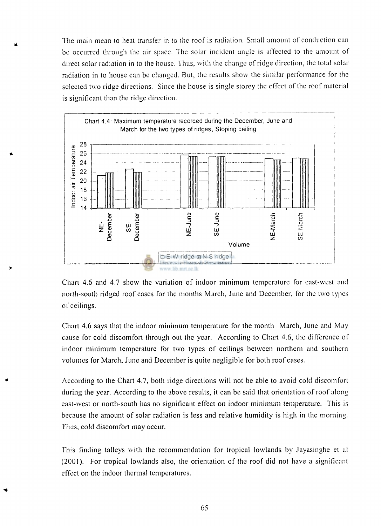The main mean to heat transfer in to the roof is radiation. Small amount of conduction can be occurred through the air space. The solar incident angle is affected to the amount of direct solar radiation in to the house. Thus, with the change of ridge direction, the total solar radiation in to house can be changed. But, the results show the similar performance for the selected two ridge directions. Since the house is single storey the effect of the roof material is significant than the ridge direction.



Chart **4.6** and **4.7** show the variation of indoor minimum temperature for east-west anil north-south ridged roof cases for the months March, June and December, for the two types of ceilings.

Chart **4.6** says that the indoor minimum temperature for the month March, June and May cause for cold discomfort through out the year. According to Chart **4.6,** the difference of indoor minimum temperature for two types of ceilings between northern and southern volumes for March, June and December is quite negligible for both roof cases.

According to the Chart **4.7,** both ridge directions will not be able to avoid cold discomfort during the year. According to the above results, it can be said that orientation of roof along east-west or north-south has no significant effect on indoor minimum temperature. This is because the amount of solar radiation is less and relative humidity is high in the morning. Thus, cold discomfort may occur.

This finding talleys with the recommendation for tropical lowlands by Jayasinghe et al (2001). For tropical lowlands also, the orientation of the roof did not have a significant effect on the indoor thermal temperatures.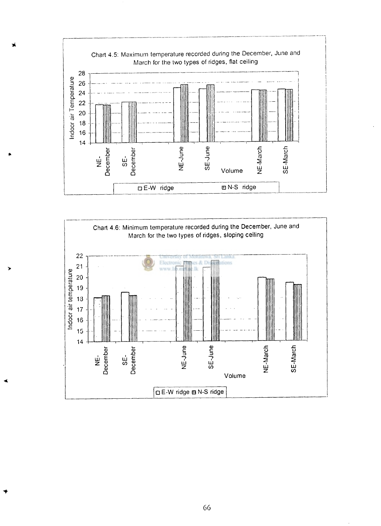



66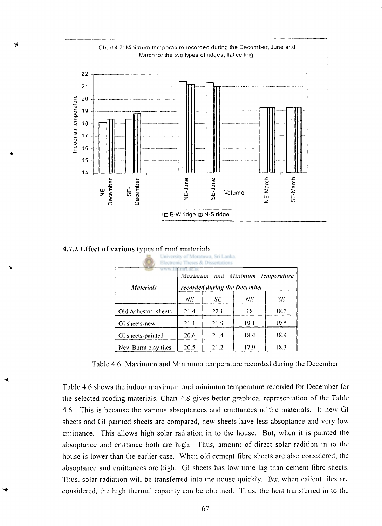

**4.7.2 Effect of various types of roof materials** 

| University of Moratuwa, Sri Lanka.<br>Electronic Theses & Dissertations                              |      |      |      |      |  |  |
|------------------------------------------------------------------------------------------------------|------|------|------|------|--|--|
| pumpuae ik<br>Maximum and Minimum<br>temperature<br>recorded during the December<br><b>Materials</b> |      |      |      |      |  |  |
|                                                                                                      | ΝE   | SE   | NE.  | SE   |  |  |
| Old Asbestos sheets                                                                                  | 21.4 | 22.1 | 18   | 18.3 |  |  |
| GI sheets-new                                                                                        | 21.1 | 21.9 | 19.1 | 19.5 |  |  |
| GI sheets-painted                                                                                    | 20.6 | 21.4 | 18.4 | 18.4 |  |  |
| New Burnt clay tiles                                                                                 | 20.5 | 21.2 | 17.9 | 18.3 |  |  |

Table 4.6: Maximum and Minimum temperature recorded during the December

Table 4.6 shows the indoor maximum and minimum temperature recorded for December for the selected roofing materials. Chart 4.8 gives better graphical representation of the Table 4.6. This is because the various absoptances and emittances of the materials. If new GI sheets and GI painted sheets are compared, new sheets have less absoptance and very low emittance. This allows high solar radiation in to the house. But, when it is painted the absoptance and emttance both are high. Thus, amount of direct solar radition in to the house is lower than the earlier case. When old cement fibre sheets are also considered, the absoptance and emittances are high. GI sheets has low time lag than cement fibre sheets. Thus, solar radiation will be transferred into the house quickly. But when calicut tiles are considered, the high thermal capacity can be obtained. Thus, the heat transferred in to the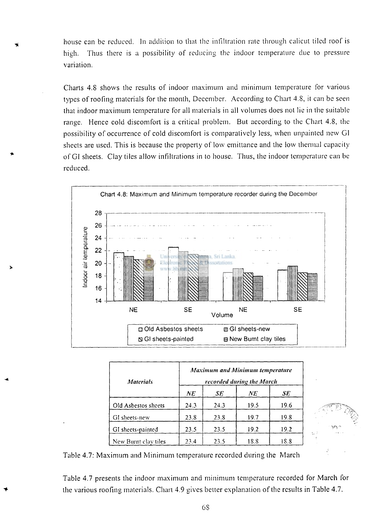house can be reduced. In addition to that the infiltration rate through calicut tiled roof is high. Thus there is a possibility of reducing the indoor temperature due to pressure variation.

Charts **4**.8 shows the results of indoor maximum and minimum temperature for various types of roofing materials for the month, December. According to Chart **4**.8, it can be seen that indoor maximum temperature for all materials in all volumes does not lie in the suitable range. Hence cold discomfort is a critical problem. But according to the Chart **4**.8, the possibility of occurrence of cold discomfort is comparatively less, when unpainted new GI sheets are used. This is because the property of low emittance and the low thermal capacity of GI sheets. Clay tiles allow infiltrations in to house. Thus, the indoor temperature can be reduced.



| <b>Materials</b>     | <b>Maximum and Minimum temperature</b><br>recorded during the March |      |      |      |  |
|----------------------|---------------------------------------------------------------------|------|------|------|--|
|                      | NE                                                                  | SE   | NE   | SE   |  |
| Old Asbestos sheets  | 24.3                                                                | 24.3 | 19.5 | 19.6 |  |
| GI sheets-new        | 23.8                                                                | 23.8 | 19.7 | 19.8 |  |
| GI sheets-painted    | 23.5                                                                | 23.5 | 19.2 | 19.2 |  |
| New Burnt clay tiles | 23.4                                                                | 23.5 | 18.8 | 18.8 |  |



Table **4.7:** Maximum and Minimum temperature recorded during the March

Table **4.7** presents the indoor maximum and minimum temperature recorded for March for the various roofing materials. Chart **4.9** gives better explanation of the results in Table **4.7.**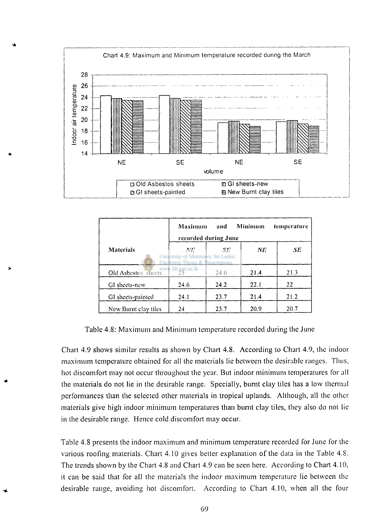

|                        | <b>Maximum</b>                                                                 | and<br>recorded during June | Minimum | temperature |
|------------------------|--------------------------------------------------------------------------------|-----------------------------|---------|-------------|
| <b>Materials</b>       | NE.<br>University of Moratuwa, Sri Lanka.<br>Flectronic Theses & Dissertations | SE.                         | NE.     | SE          |
| Old Asbestos sheets 25 |                                                                                | 24.6                        | 21.4    | 21.3        |
| GI sheets-new          | 24.6                                                                           | 24.2                        | 22.1    | 22          |
| GI sheets-painted      | 24.1                                                                           | 23.7                        | 21.4    | 21.2        |
| New Burnt clay tiles   | 24                                                                             | 23.7                        | 20.9    | 20.7        |

Table 4.8: Maximum and Minimum temperature recorded during the June

Chart 4.9 shows similar results as shown by Chart 4.8. According to Chart 4.9, the indoor maximum temperature obtained for all the materials lie between the desirable ranges. Thus, hot discomfort may not occur throughout the year. But indoor minimum temperatures for all the materials do not lie in the desirable range. Specially, burnt clay tiles has a low thermal performances than the selected other materials in tropical uplands. Although, all the other materials give high indoor minimum temperatures than burnt clay tiles, they also do not lie in the desirable range. Hence cold discomfort may occur.

Table 4.8 presents the indoor maximum and minimum temperature recorded for June for the various roofing materials. Chart 4.10 gives better explanation of the data in the Table 4.8. The trends shown by the Chart 4.8 and Chart 4.9 can be seen here. According to Chart 4.10, it can be said that for all the materials the indoor maximum temperature lie between the desirable range, avoiding hot discomfort. According to Chart 4.10, when all the four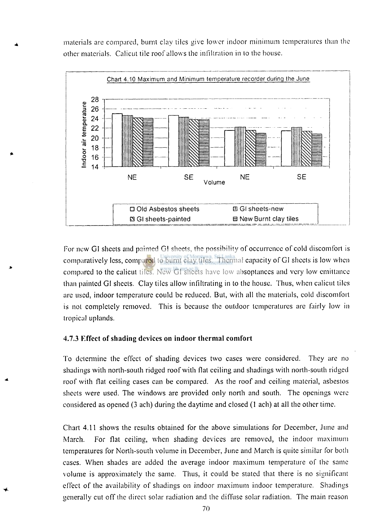materials are compared, burnt clay tiles give lower indoor minimum temperatures than the other materials. Calicut tile roof allows the infiltration in to the house.



For new GI sheets and painted GI sheets, the possibility of occurrence of cold discomfort is comparatively less, compared to burnt clay tiles. Thermal capacity of GI sheets is low when compared to the calicut tiles. New GI sheets have low absoptances and very low emittance than painted GI sheets. Clay tiles allow infiltrating in to the house. Thus, when calicut tiles arc used, indoor temperature could be reduced. But, with all the materials, cold discomfort is not completely removed. This is because the outdoor temperatures arc fairly low in tropical uplands.

## **4.7.3 Effect of shading devices on indoor thermal comfort**

To determine the effect of shading devices two cases were considered. They are no shadings with north-south ridged roof with flat ceiling and shadings with north-south ridged roof with flat ceiling cases can be compared. As the roof and ceiling material, asbestos sheets were used. The windows are provided only north and south. The openings were considered as opened **(3** ach) during the daytime and closed **(1** ach) at all the other time.

Chart **4.11** shows the results obtained for the above simulations for December, June and March. For flat ceiling, when shading devices are removed, the indoor maximum temperatures for North-south volume in December, June and March is quite similar for both cases. When shades are added the average indoor maximum temperature of the same volume is approximately the same. Thus, it could be stated that there is no significant effect of the availability of shadings on indoor maximum indoor temperature. Shadings generally cut off the direct solar radiation and the diffuse solar radiation. The main reason

70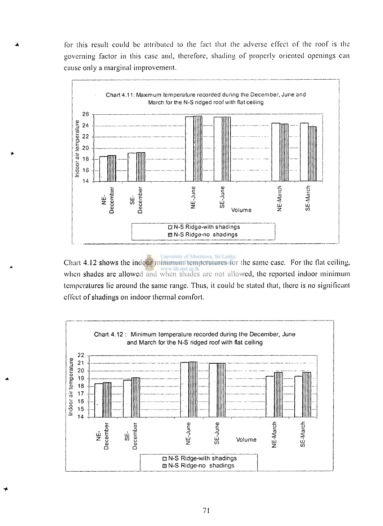for this result could be attributed to the fact that the adverse effect of the roof is the governing factor in this case and, therefore, shading of properly oriented openings can cause only a marginal improvement.



University of Moratuwa, Sri Lanka Chart 4.12 shows the indoor minimum temperatures for the same case. For the Hat ceiling, when shades are allowed and when shades are not allowed, the reported indoor minimum temperatures lie around the same range. Thus, it could be slated that, there is no significant effect of shadings on indoor thermal comfort.